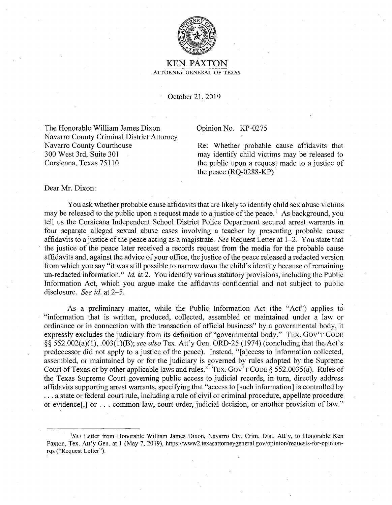

## KEN.PAXTON ATTORNEY GENERAL OF TEXAS

October 21, 2019

The Honorable William James Dixon Navarro County Criminal District Attorney Navarro County Courthouse 300 West 3rd, Suite 301 Corsicana, Texas 75110

## Opinion No. KP-0275

Re: Whether probable cause affidavits that may identify child victims may be released to the public upon a request made to a justice of the peace (RQ-0288-KP)

## Dear Mr. Dixon:

You ask whether probable cause affidavits that are likely to identify child sex abuse victims may be released to the public upon a request made to a justice of the peace.<sup>1</sup> As background, you tell us the Corsicana Independent School District Police Department secured arrest warrants in four separate alleged sexual abuse cases involving a teacher by presenting probable cause affidavits to a justice of the peace acting as a magistrate. *See* Request Letter at 1-2. You state that the justice of the peace later received a records request from the media for the probable cause affidavits and, against the advice of your office, the justice of the peace released a redacted version from which you say "it was still possible to narrow down the child's identity because of remaining un-redacted information." *Id.* at 2. You identify various statutory provisions, including the Public Information Act, which you argue make the affidavits confidential and not subject to public disclosure. *See id.* at 2-5.

As a preliminary matter, while the Public Information Act (the "Act") applies to "information that is written, produced, collected, assembled or maintained under a law or ordinance or in connection with the transaction of official business" by a governmental body, it expressly excludes the judiciary from its definition of "governmental body." TEX. GOV'T CODE §§ 552.002(a)(1), .003(1)(B); *see also* Tex. Att'y Gen. ORD-25 (1974) (concluding that the Act's predecessor did not apply to a justice of the peace). Instead, "[a]ccess to information collected, assembled, or maintained by or for the judiciary is governed by rules adopted by the Supreme Court of Texas or by other applicable laws and rules." TEX. Gov'T CODE§ 552.0035(a). Rules of the Texas Supreme Court governing public access to judicial records, in turn, directly address affidavits supporting arrest warrants, specifying that "access to [such information] is controlled by ... a state or federal court rule, including a rule of civil or criminal procedure, appellate procedure or evidence[,] or ... common law, court order, judicial decision, or another provision of law."

<sup>&</sup>lt;sup>1</sup>See Letter from Honorable William James Dixon, Navarro Cty. Crim. Dist. Att'y, to Honorable Ken Paxton, Tex. Att'y Gen. at I (May 7, 2019), https://www2.texasattorneygeneral.gov/opinion/requests-for-opinionrqs ("Request Letter").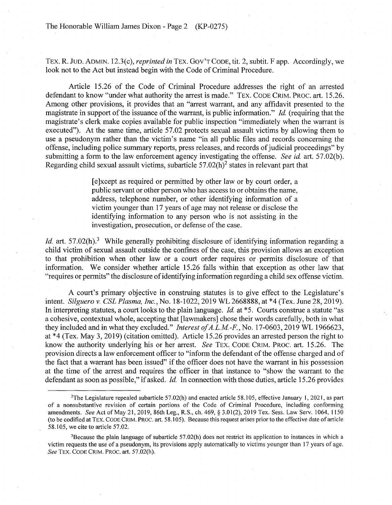TEX. R. JUD. ADMIN. 12.3(c), *reprinted in* TEX. Gov'T CODE, tit. 2, subtit. F app. Accordingly, we look not to the Act but instead begin with the Code of Criminal Procedure.

Article 15.26 of the Code of Criminal Procedure addresses the right of an arrested defendant to know "under what authority the arrest is made." TEX. CODE CRIM. PROC. art. 15.26. Among other provisions, it provides that an "arrest warrant, and any affidavit presented to the magistrate in support of the issuance of the warrant, is public information." *Id.* (requiring that the magistrate's clerk make copies available for public inspection "immediately when the warrant is executed"). At the same time, article 57.02 protects sexual assault victims by allowing them to use a pseudonym rather than the victim's name "in all public files and records concerning the offense, including police summary reports, press releases, and records of judicial proceedings" by submitting a form to the law enforcement agency investigating the offense. *See id.* art. 57.02(b). Regarding child sexual assault victims, subarticle  $57.02(h)^2$  states in relevant part that

> [ e ]xcept as required or permitted by other law or by court order, a public servant or other person who has access to or obtains the name, address, telephone number, or other identifying information of a victim younger than 17 years of age may not release or disclose the identifying information to any person who is not assisting in the investigation, prosecution, or defense of the case.

*Id.* art. 57.02(h).<sup>3</sup> While generally prohibiting disclosure of identifying information regarding a child victim of sexual assault outside the confines of the case, this provision allows an exception to that prohibition when other law or a court order requires or permits disclosure of that information. We consider whether article 15.26 falls within that exception as other law that "requires or permits" the disclosure of identifying information regarding a child sex offense victim.

A court's primary objective in construing statutes is to give effect to the Legislature's intent. *Silguero v. CSL Plasma, Inc.,* No. 18-1022, 2019 WL 2668888, at \*4 (Tex. June 28,2019). In interpreting statutes, a court looks to the plain language. *Id.* at \*5. Courts construe a statute "as a cohesive, contextual whole, accepting that [lawmakers] chose their words carefully, both in what they included and in what they excluded." *Interest of A.L.M-F.,* No. 17-0603, 2019 WL 1966623, at \*4 (Tex. May 3, 2019) (citation omitted). Article 15.26 provides an arrested person the right to know the authority underlying his or her arrest. *See TEX. CODE CRIM. PROC. art.* 15.26. The provision directs a law enforcement officer to "inform the defendant of the offense charged and of the fact that a warrant has been issued" if the officer does not have the warrant in his possession at the time of the arrest and requires the officer in that instance to "show the warrant to the defendant as soon as possible," if asked. *Id.* In connection with those duties, article 15 .26 provides

<sup>&</sup>lt;sup>2</sup>The Legislature repealed subarticle 57.02(h) and enacted article 58.105, effective January 1, 2021, as part of a nonsubstantive revision of certain portions of the Code of Criminal Procedure, including conforming amendments. *See* Act of May 21, 2019, 86th Leg., R.S., ch. 469, § 3.01(2), 2019 Tex. Sess. Law Serv. 1064, 1150 (to be codified at TEX. CODE CRIM. PROC. art. 58.105). Because this request arises prior to the effective date ofarticle 58.105, we cite to article 57.02.

<sup>&</sup>lt;sup>3</sup>Because the plain language of subarticle 57.02(h) does not restrict its application to instances in which a victim requests the use of a pseudonym, its provisions apply automatically to victims younger than 17 years of age. *See* TEX. CODE CRIM. PROC. art. 57.02(h).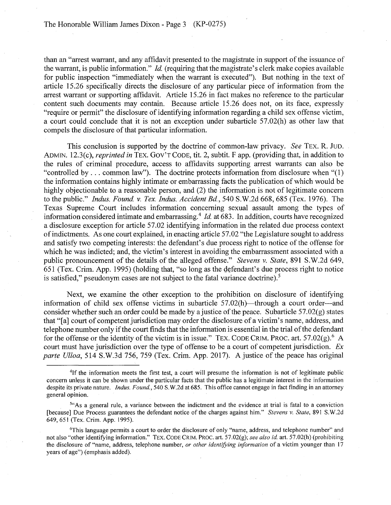than an "arrest warrant, and any affidavit presented to the magistrate in support of the issuance of the warrant, is public information." *Id.* (requiring that the magistrate's clerk make copies available for public inspection "immediately when the warrant is executed"). But nothing in the text of article 15.26 specifically directs the disclosure of any particular piece of information from the arrest warrant or supporting affidavit. Article 15 .26 in fact makes no reference to the particular content such documents may contain. Because article 15.26 does not, on its face, expressly "require or permit" the disclosure of identifying information regarding a child sex offense victim, a court could conclude that it is not an exception under subarticle 57.02(h) as other law that compels the disclosure of that particular information.

This conclusion is supported by the doctrine of common-law privacy. *See* TEX. R. JUD. ADMIN. 12.3(c), *reprinted in* TEX. Gov'T CODE, tit. 2, subtit. F app. (providing that, in addition to the rules of criminal procedure, access to affidavits supporting arrest warrants can also be "controlled by  $\dots$  common law"). The doctrine protects information from disclosure when "(1) the information contains highly intimate or embarrassing facts the publication of which would be highly objectionable to a reasonable person, and (2) the information is not of legitimate concern to the public." *Indus. Found. v. Tex. Indus. Accident Bd.,* 540 S.W.2d 668,685 (Tex. 1976). The Texas Supreme Court includes information concerning sexual assault among the types of information considered intimate and embarrassing. <sup>4</sup>*Id.* at 683. In addition, courts have recognized a disclosure exception for article 57.02 identifying information in the related due process context of indictments. As one court explained, in enacting article 57.02 "the Legislature sought to address and satisfy two competing interests: the defendant's due process right to notice of the offense for which he was indicted; and, the victim's interest in avoiding the embarrassment associated with a public pronouncement of the details of the alleged offense." *Stevens v. State,* 891 S.W.2d 649,  $651$  (Tex. Crim. App. 1995) (holding that, "so long as the defendant's due process right to notice is satisfied," pseudonym cases are not subject to the fatal variance doctrine).<sup>5</sup>

Next, we examine the other exception to the prohibition on disclosure of identifying information of child sex offense victims in subarticle  $57.02(h)$ —through a court order--and consider whether such an order could be made by a justice of the peace. Subarticle  $57.02(g)$  states that "[a] court of competent jurisdiction may order the disclosure of a victim's name, address, and telephone number only if the court finds that the information is essential in the trial of the defendant for the offense or the identity of the victim is in issue." TEX. CODE CRIM. PROC. art. 57.02 $(g)$ . A court must have jurisdiction over the type of offense to be a court of competent jurisdiction. *Ex parte Ulloa,* 514 S.W.3d 756, 759 (Tex. Crim. App. 2017). A justice of the peace has original

<sup>4</sup>If the information meets the first test, a court will presume the information is not of legitimate public concern unless it can be shown under the particular facts that the public has a legitimate interest in the information despite its private nature. *Indus. Found.*, 540 S.W.2d at 685. This office cannot engage in fact finding in an attorney general opinion.

<sup>&</sup>lt;sup>51</sup>As a general rule, a variance between the indictment and the evidence at trial is fatal to a conviction [because] Due Process guarantees the defendant notice of the charges against him." *Stevens v. State,* 89 I S. W.2d 649, 651 (Tex. Crim. App. 1995).

<sup>6</sup>This language permits a court to order the disclosure of only "name, address, and telephone number" and not also "other identifying information." TEX. CODE CRIM. PROC. art. 57.02(g); *see also id.* art. 57.02(h) (prohibiting the disclosure of "name, address, telephone number, *or other identifying information* of a victim younger than 17 years of age") (emphasis added).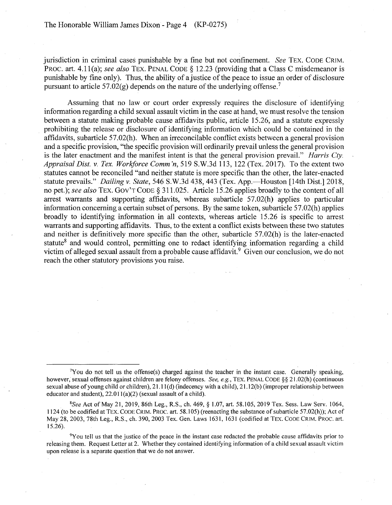jurisdiction in criminal cases punishable by a fine but not confinement. *See* TEX. CODE CRIM. PROC. art. 4.1 l(a); *see also* TEX. PENAL CODE§ 12.23 (providing that a Class C misdemeanor is punishable by fine only). Thus, the ability of a justice of the peace to issue an order of disclosure pursuant to article 57.02(g) depends on the nature of the underlying offense.<sup>7</sup>

Assuming that no law or court order expressly requires the disclosure of identifying information regarding a child sexual assault victim in the case at hand, we must resolve the tension between a statute making probable cause affidavits public, article 15.26, and a statute expressly prohibiting the release or disclosure of identifying information which could be contained in the affidavits, subarticle 57.02(h). When an irreconcilable conflict exists between a general provision and a specific provision, "the specific provision will ordinarily prevail unless the general provision is the later enactment and the manifest intent is that the general provision prevail." *Harris Cty. Appraisal Dist. v. Tex. Worliforce Comm 'n,* 519 S.W.3d 113, 122 (Tex. 2017). To the extent two statutes cannot be reconciled "and neither statute is more specific than the other, the later-enacted statute prevails." *Dailing v. State,* 546 S.W.3d 438,443 (Tex. App.-Houston [14th Dist.] 2018, no pet.); *see also* TEX. Gov'T CODE§ 311.025. Article 15.26 applies broadly to the content of all arrest warrants and supporting affidavits, whereas subarticle 57.02(h) applies to particular information concerning a certain subset of persons. By the same token, subarticle 57 .02(h) applies broadly to identifying information in all contexts, whereas article 15.26 is specific to arrest warrants and supporting affidavits. Thus, to the extent a conflict exists between these two statutes and neither is definitively more specific than the other, subarticle 57.02(h) is the later-enacted statute<sup>8</sup> and would control, permitting one to redact identifying information regarding a child victim of alleged sexual assault from a probable cause affidavit.<sup>9</sup> Given our conclusion, we do not reach the other statutory provisions you raise.

<sup>7</sup> You do not tell us the offense(s) charged against the teacher in the instant case. Generally speaking, however, sexual offenses against children are felony offenses. *See, e.g.,* TEX. PENAL CODE§§ 2 I .02(h) (continuous sexual abuse of young child or children),  $21.11(d)$  (indecency with a child),  $21.12(b)$  (improper relationship between educator and student),  $22.011(a)(2)$  (sexual assault of a child).

*<sup>8</sup> See* Act of May 21, 2019, 86th Leg., R.S., ch. 469, § 1.07, art. 58.105, 2019 Tex. Sess. Law Serv. 1064, 1124 (to be codified at TEX. CODE CRIM. PROC. art. 58.105) (reenacting the substance of subarticle 57.02(h)); Act of May 28, 2003, 78th Leg., R.S., ch. 390, 2003 Tex. Gen. Laws 1631, 1631 (codified at TEX. CODE CRIM. PROC. art. 15.26).

<sup>9</sup>You tell us that the justice of the peace in the instant case redacted the probable cause affidavits prior to releasing them. Request Letter at 2. Whether they contained identifying information of a child sexual assault victim upon release is a separate question that we do not answer.